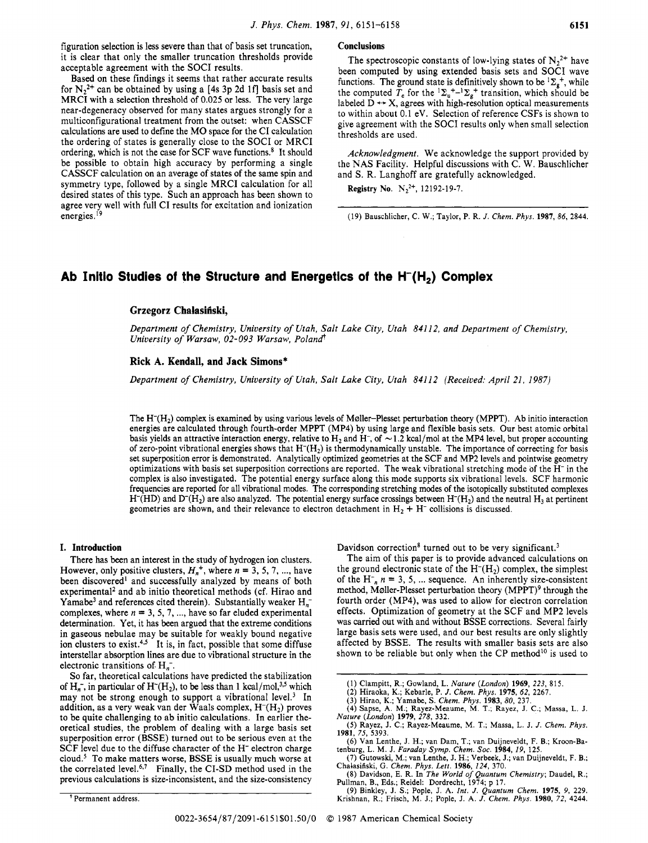figuration selection is less severe than that of basis set truncation, it is clear that only the smaller truncation thresholds provide acceptable agreement with the SOCI results.

Based on these findings it seems that rather accurate results for  $N_2^{2+}$  can be obtained by using a [4s 3p 2d 1f] basis set and MRCI with a selection threshold of 0.025 or less. The very large near-degeneracy observed for many states argues strongly for a multiconfigurational treatment from the outset: when CASSCF calculations are used to define the MO space for the CI calculation the ordering of states is generally close to the SOCI or MRCI ordering, which is not the case for SCF wave functions.<sup>8</sup> It should be possible to obtain high accuracy by performing a single CASSCF calculation on an average of states of the same spin and symmetry type, followed by a single MRCI calculation for all desired states of this type. Such an approach has been shown to agree very well with full CI results for excitation and ionization energies, **l9** 

## **Conclusions**

The spectroscopic constants of low-lying states of  $N_2^{2+}$  have been computed by using extended basis sets and SOCI wave functions. The ground state is definitively shown to be  ${}^{1}\Sigma_{g}^{+}$ , while the computed  $T_e$  for the  ${}^{1}\Sigma_{u}^{+}$ - ${}^{1}\Sigma_{g}^{+}$  transition, which should be functions. The ground state is definitively shown to be  ${}^{t} \Sigma_{g}^{\pi}$ , while<br>the computed  $T_e$  for the  ${}^{1} \Sigma_{u}^{+} - {}^{1} \Sigma_{g}^{+}$  transition, which should be<br>labeled  $D \leftrightarrow X$ , agrees with high-resolution optical measurem to within about 0.1 eV. Selection of reference CSFs is shown to give agreement with the SOCI results only when small selection thresholds are used.

*Acknowledgment.* We acknowledge the support provided by the NAS Facility. Helpful discussions with C. W. Bauschlicher and S. R. Langhoff are gratefully acknowledged.

**Registry No.**  $N_2^{2+}$ , 12192-19-7.

**(19) Bauschlicher, C. W.; Taylor, P. R.** *J. Chem. Phys.* **1987,** *86,* **2844.** 

# Ab Initio Studies of the Structure and Energetics of the H<sup>-</sup>(H<sub>2</sub>) Complex

## Grzegorz Chałasiński,

*Department of Chemistry, University of Utah, Salt Lake City, Utah 84112, and Department of Chemistry, University of Warsaw, 02-093 Warsaw, Poland* 

#### **Rick A. Kendall, and Jack Simons\***

*Department of Chemistry, University of Utah, Salt Lake City, Utah 84112 (Received: April 21, 1987)* 

The  $H^{-}(H_{2})$  complex is examined by using various levels of Møller-Plesset perturbation theory (MPPT). Ab initio interaction energies are calculated through fourth-order MPPT (MP4) by using large and flexible basis sets. Our best atomic orbital<br>basis yields an attractive interaction energy, relative to  $H_2$  and  $H^-$ , of  $\sim 1.2$  kcal/mol at th of zero-point vibrational energies shows that  $H^{-}(H_2)$  is thermodynamically unstable. The importance of correcting for basis set superposition error is demonstrated. Analytically optimized geometries at the SCF and MP2 levels and pointwise geometry optimizations with basis set superposition corrections are reported. The weak vibrational stretching mode of the H- in the complex is also investigated. The potential energy surface along this mode supports six vibrational levels. SCF harmonic frequencies are reported for all vibrational modes. The corresponding stretching modes of the isotopically substituted complexes  $H^-(HD)$  and  $D^-(H_2)$  are also analyzed. The potential energy surface crossings between  $H^-(H_2)$  and the neutral  $H_3$  at pertinent geometries are shown, and their relevance to electron detachment in  $H_2 + H^-$  collisions is discussed.

## **I. Introduction**

There has been an interest in the study of hydrogen ion clusters. However, only positive clusters,  $H_n^+$ , where  $n = 3, 5, 7, \dots$ , have been discovered<sup>1</sup> and successfully analyzed by means of both experimental<sup>2</sup> and ab initio theoretical methods (cf. Hirao and Yamabe<sup>3</sup> and references cited therein). Substantially weaker  $H_{n}^$ complexes, where  $n = 3, 5, 7, \dots$ , have so far eluded experimental determination. Yet, it has been argued that the extreme conditions in gaseous nebulae may be suitable for weakly bound negative ion clusters to exist.<sup>4,5</sup> It is, in fact, possible that some diffuse interstellar absorption lines are due to vibrational structure in the electronic transitions of  $H_n^-$ .

So far, theoretical calculations have predicted the stabilization of  $H_n^-$ , in particular of  $H^-(H_2)$ , to be less than 1 kcal/mol,<sup>3,5</sup> which may not be strong enough to support a vibrational level.<sup>3</sup> In addition, as a very weak van der Waals complex, **H-(H2)** proves to be quite challenging to ab initio calculations. In earlier theoretical studies, the problem of dealing with a large basis set superposition error (BSSE) turned out to be serious even at the SCF level due to the diffuse character of the **H-** electron charge cloud.<sup>5</sup> To make matters worse, BSSE is usually much worse at the correlated level.<sup>6,7</sup> Finally, the CI-SD method used in the previous calculations is size-inconsistent, and the size-consistency

Davidson correction<sup>8</sup> turned out to be very significant.<sup>3</sup>

The aim of this paper is to provide advanced calculations on the ground electronic state of the  $H<sup>-</sup>(H<sub>2</sub>)$  complex, the simplest of the  $H_{n}^{-}$   $n = 3, 5, ...$  sequence. An inherently size-consistent method, Møller-Plesset perturbation theory (MPPT)<sup>9</sup> through the fourth order (MP4), was used to allow for electron correlation effects. Optimization of geometry at the SCF and MP2 levels was **carried** out with and without BSSE corrections. Several fairly large basis sets were used, and our best results are only slightly affected by BSSE. The results with smaller basis sets are also shown to be reliable but only when the CP method<sup>10</sup> is used to

**<sup>&#</sup>x27;Permanent address.** 

**<sup>(1)</sup> Clampitt, R.; Gowland, L.** *Nalure (London)* **1969,** *223,* **815.** 

**<sup>(2)</sup> Hiraoka, K.; Kebarle, P.** *J. Chem. Phys.* **1975,** *62,* **2267. (3) Hirao, K.; Yamabe, S.** *Chem. Phys.* **1983,80, 237.** 

**<sup>(4)</sup> Sapse, A. M.; Rayez-Meaume, M. T.; Rayez, J. C.; Massa, L. J.**  *Nature (London)* **1979,** *278,* **332.** 

**<sup>(5)</sup> Rayez, J. C.; Rayez-Meaume, M. T.; Massa, L. J. J.** *Chem. Phys.*  **1981,** *75,* **5393.** 

**<sup>(6)</sup> Van Lenthe, J. H.; van Dam, T.; van Duijneveldt, F. B.; Kroon-Ba**tenburg, L. M. J. *Faraday Symp. Chem. Soc.* **1984**, *19*, 125. <br>(7) Gutowski, M.; van Lenthe, J. H.; Verbeek, J.; van Duijneveldt, F. B.;

Chałasiński, G. Chem. Phys. Lett. 1986, 124, 370.<br>
(8) Davidson, E. R. In The World of Quantum Chemistry; Daudel, R.;<br>
Pullman, B., Eds.; Reidel: Dordrecht, 1974; p 17.<br>
(9) Binkley, J. S.; Pople, J. A. Int. J. Quantum Che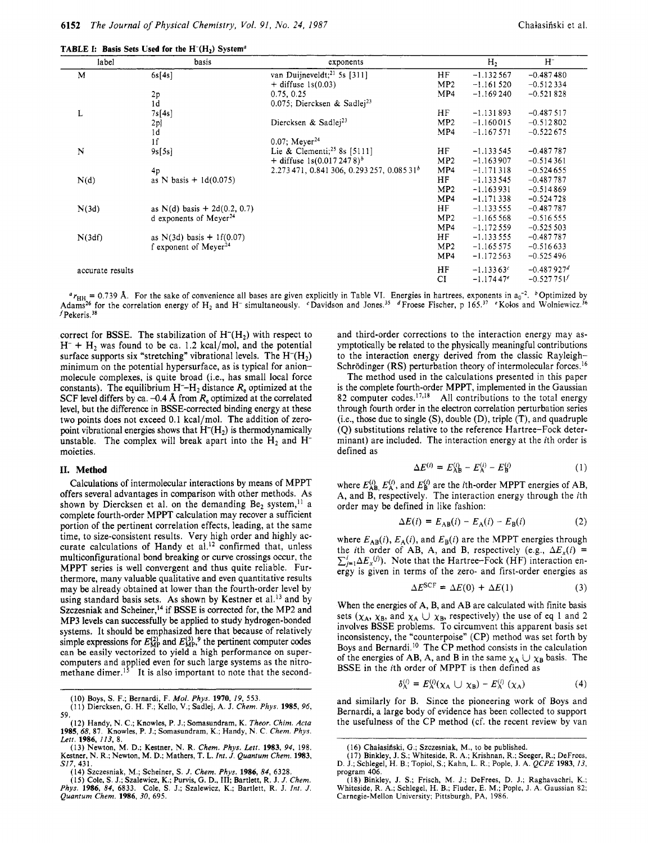| label            | basis                              | exponents                                |                 | H <sub>2</sub> | $H^-$           |
|------------------|------------------------------------|------------------------------------------|-----------------|----------------|-----------------|
| M                | 6s[4s]                             | van Duijneveldt; <sup>21</sup> 5s [311]  | HF              | $-1.132567$    | $-0.487480$     |
|                  |                                    | $+$ diffuse 1s(0.03)                     | MP <sub>2</sub> | $-1.161520$    | $-0.512334$     |
|                  | 2p                                 | 0.75, 0.25                               | MP4             | $-1.169240$    | $-0.521828$     |
|                  | 1 <sub>d</sub>                     | 0.075; Diercksen & Sadlej <sup>23</sup>  |                 |                |                 |
| L                | 7s[4s]                             |                                          | HF              | $-1.131893$    | $-0.487517$     |
|                  | 2p                                 | Diercksen & Sadlej <sup>23</sup>         | MP2             | $-1.160015$    | $-0.512802$     |
|                  | 1 <sub>d</sub>                     |                                          | MP4             | $-1.167571$    | $-0.522675$     |
|                  | 1 <sub>f</sub>                     | $0.07$ ; Meyer <sup>24</sup>             |                 |                |                 |
| N                | 9s[5s]                             | Lie & Clementi; <sup>25</sup> 8s [5111]  | HF              | $-1.133545$    | $-0.487787$     |
|                  |                                    | + diffuse $1s(0.0172478)^b$              | MP2             | $-1.163907$    | $-0.514361$     |
|                  | 4 <sub>p</sub>                     | $2.273471, 0.841306, 0.293257, 0.08531b$ | MP4             | $-1.171318$    | $-0.524655$     |
| N(d)             | as N basis + $1d(0.075)$           |                                          | ΗF              | $-1.133545$    | $-0.487787$     |
|                  |                                    |                                          | MP2             | $-1.163931$    | $-0.514869$     |
|                  |                                    |                                          | MP4             | $-1.171338$    | $-0.524728$     |
| N(3d)            | as N(d) basis $+ 2d(0.2, 0.7)$     |                                          | HF              | $-1.133555$    | $-0.487787$     |
|                  | d exponents of Meyer <sup>24</sup> |                                          | MP2             | $-1.165568$    | $-0.516555$     |
|                  |                                    |                                          | MP4             | $-1.172559$    | $-0.525503$     |
| N(3df)           | as $N(3d)$ basis + 1f(0.07)        |                                          | HF              | $-1.133555$    | $-0.487787$     |
|                  | f exponent of Meyer <sup>24</sup>  |                                          | MP2             | $-1.165575$    | $-0.516633$     |
|                  |                                    |                                          | MP4             | $-1.172563$    | $-0.525496$     |
| accurate results |                                    |                                          | HF              | $-1.13363c$    | $-0.487927d$    |
|                  |                                    |                                          | CI              | $-1.17447e$    | $-0.527751^{f}$ |

**TABLE I: Basis Sets Used for the H<sup>-</sup>(H<sub>2</sub>) System<sup>a</sup>** 

 $r_{HH}$  = 0.739 Å. For the sake of convenience all bases are given explicitly in Table VI. Energies in hartrees, exponents in a<sub>0</sub><sup>-2</sup>. <sup>b</sup>Optimized by Adams<sup>26</sup> for the correlation energy of H<sub>2</sub> and H<sup>-</sup> simultaneously. Coavidson and Jones.<sup>35</sup> dFroese Fischer, p 165.<sup>37</sup> Kolos and Wolniewicz.<sup>36</sup>  $f$ Pekeris.<sup>38</sup>

correct for BSSE. The stabilization of  $H<sup>-</sup>(H<sub>2</sub>)$  with respect to  $H^- + H$ , was found to be ca. 1.2 kcal/mol, and the potential surface supports six "stretching" vibrational levels. The  $H<sup>-</sup>(H<sub>2</sub>)$ minimum on the potential hypersurface, as is typical for anionmolecule complexes, is quite broad (i.e., has small local force constants). The equilibrium  $H^- - H_2$  distance  $R_e$  optimized at the SCF level differs by ca.  $-0.4$  Å from  $R_e$  optimized at the correlated level, but the difference in BSSE-corrected binding energy at these two points does not exceed 0.1 kcal/mol. The addition of zeropoint vibrational energies shows that  $H<sup>-</sup>(H<sub>2</sub>)$  is thermodynamically unstable. The complex will break apart into the  $H_2$  and  $H^$ moieties.

#### **11. Method**

Calculations of intermolecular interactions by means of MPPT offers several advantages in comparison with other methods. As shown by Diercksen et al. on the demanding  $Be_2$  system,<sup>11</sup> a complete fourth-order MPPT calculation may recover a sufficient portion of the pertinent correlation effects, leading, at the same time, to size-consistent results. Very high order and highly accurate calculations of Handy et al.<sup>12</sup> confirmed that, unless multiconfigurational bond breaking or curve crossings occur, the MPPT series is well convergent and thus quite reliable. Furthermore, many valuable qualitative and even quantitative results may be already obtained at lower than the fourth-order level by using standard basis sets. As shown by Kestner et al.<sup>13</sup> and by Szczesniak and Scheiner,<sup>14</sup> if BSSE is corrected for, the MP2 and MP3 levels can successfully be applied to study hydrogen-bonded systems. It should be emphasized here that because of relatively simple expressions for  $E_{\rm MP}^{(2)}$  and  $E_{\rm MP}^{(3)}$ ,<sup>9</sup> the pertinent computer codes can be easily vectorized to yield **a** high performance on supercomputers and applied even for such large systems as the nitromethane dimer.<sup>15</sup> It is also important to note that the second-

and third-order corrections to the interaction energy may asymptotically be related to the physically meaningful contributions to the interaction energy derived from the classic Rayleigh-Schrödinger (RS) perturbation theory of intermolecular forces.<sup>16</sup>

The method used in the calculations presented in this paper is the complete fourth-order MPPT, implemented in the Gaussian 82 computer codes. $17,18$  All contributions to the total energy through fourth order in the electron correlation perturbation series  $(i.e., those due to single (S), double (D), triple (T), and quadruple$ (Q) substitutions relative to the reference Hartree-Fock determinant) are included. The interaction energy at the ith order is defined as

$$
\Delta E^{(i)} = E_{\rm AB}^{(i)} - E_{\rm A}^{(i)} - E_{\rm B}^{(i)} \tag{1}
$$

where  $E_{AB}^{(i)}$ ,  $E_A^{(i)}$ , and  $E_B^{(i)}$  are the *i*th-order MPPT energies of AB, A, and B, respectively. The interaction energy through the ith order may be defined in like fashion:

$$
\Delta E(i) = E_{AB}(i) - E_A(i) - E_B(i) \tag{2}
$$

where  $E_{AB}(i)$ ,  $E_A(i)$ , and  $E_B(i)$  are the MPPT energies through the *i*th order of AB, A, and B, respectively (e.g.,  $\Delta E_x(i)$  =  $\sum_{j=1}^{i} \Delta E_x^{(j)}$ . Note that the Hartree-Fock (HF) interaction energy is given in terms of the zero- and first-order energies as

$$
\Delta E^{\text{SCF}} = \Delta E(0) + \Delta E(1) \tag{3}
$$

When the energies of A, B, and AB are calculated with finite basis sets  $(\chi_A, \chi_B, \text{ and } \chi_A \cup \chi_B, \text{ respectively})$  the use of eq 1 and 2 involves BSSE problems. To circumvent this apparent basis set inconsistency, the "counterpoise" (CP) method was set forth by Boys and Bernardi.<sup>10</sup> The CP method consists in the calculation of the energies of AB, A, and B in the same  $\chi_A \cup \chi_B$  basis. The BSSE in the ith order of MPPT is then defined as

$$
\delta_{\mathbf{A}}^{(i)} = E_{\mathbf{A}}^{(i)}(\chi_{\mathbf{A}} \cup \chi_{\mathbf{B}}) - E_{\mathbf{A}}^{(i)}(\chi_{\mathbf{A}})
$$
(4)

and similarly for B. Since the pioneering work of Boys and Bernardi, a large body of evidence has been collected to support the usefulness of the CP method (cf. the recent review by van

<sup>(10)</sup> Boys, s. F.; Bernardi, F. *Mol. Phys.* 1970, 19, 553. (11) Diercksen, *G.* H. F.; Kello, **V.;** Sadlej, A. J. *Chem. Pbys.* 1985, 96, **59.** 

<sup>(12)</sup> Handy, N. C.; Knowles, P. J.; Somasundram, **K.** *Theor. Cbim. Acta*  1985,68,87. Knowles, P. J.; Somasundram, K.; Handy, N. C. *Cbem. Phys. Lett.* 1986, *113, 8.* 

<sup>(13)</sup> Newton, M. D.; Kestner, N. R. *Chem. Phys. Lett.* 1983, *94,* 198. Kestner, N. R.; Newton, M. D.; Mathers, T. L. *Int. J. Quantum Chem.* 1983, *S17,* 431.

<sup>(14)</sup> Szczesniak, M.; Scheiner, S. J. Chem. Phys. 1986, 84, 6328.<br>(15) Cole, S. J.; Szalewicz, K.; Purvis, G. D., III; Bartlett, R. J. J. Chem.<br>Phys. 1986, 84, 6833. Cole, S. J.; Szalewicz, K.; Bartlett, R. J. Int. J. *Quantum Chem.* 1986, *30,* 695.

<sup>(16)</sup> Chaiasiiiski, G.; Szczesniak, M., to be published. **(17)** Binkley, J. **S.;** Whiteside, R. **A,;** Krishnan, R.; Seeger, R.; DeFrees, D. J.; Schlegel, H. B.; Topiol, **S.;** Kahn, L. R.; Pople, **J.** A. *QCPE* 1983, *13,*  program 406.

<sup>(18)</sup> Binkley, J. **S.;** Frisch, M. **J.;** DeFrees, D. **J.;** Raghavachri, K.; Whiteside, R. A,; Schlegel, H. **B.;** Fluder, E. **M.;** Pople, J. A. Gaussian 82; Carnegie-Mellon University; Pittsburgh, PA, 1986.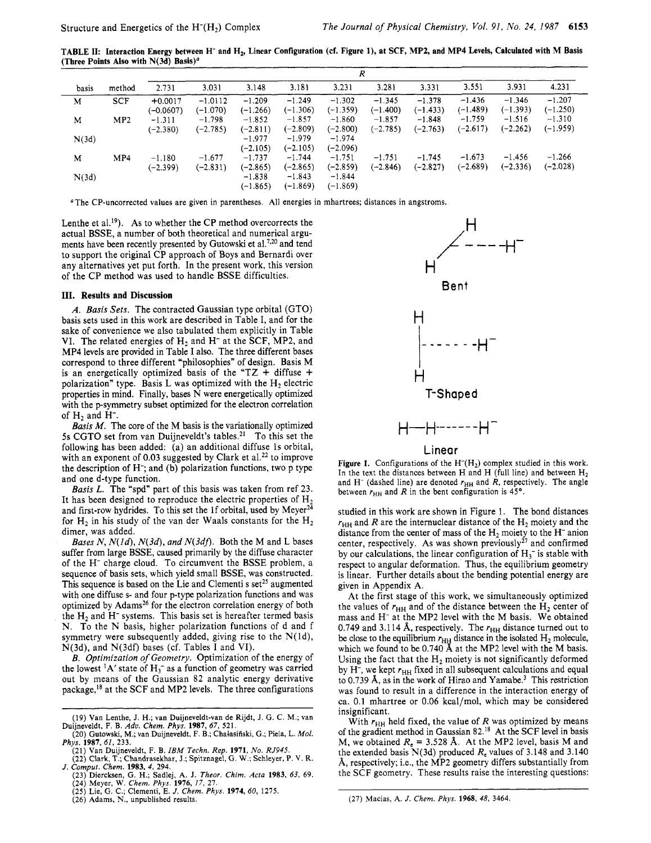**TABLE 11: Interaction Energy between H- and H2, Linear Configuration (cf. Figure l), at SCF, MP2, and MP4 Levels, Calculated with M Basis (Three Points Also with N(3d) Basis)"** 

|       |            |                        |                         |                        |                        | R                      |                        |                        |                        |                        |                        |
|-------|------------|------------------------|-------------------------|------------------------|------------------------|------------------------|------------------------|------------------------|------------------------|------------------------|------------------------|
| basis | method     | 2.731                  | 3.031                   | 3.148                  | 3.181                  | 3.231                  | 3.281                  | 3.331                  | 3.551                  | 3.931                  | 4.231                  |
| M     | <b>SCF</b> | $+0.0017$<br>(-0.0607) | $-1.0112$<br>$(-1.070)$ | $-1.209$<br>$(-1.266)$ | $-1.249$<br>$(-1.306)$ | $-1.302$<br>$(-1.359)$ | $-1.345$<br>(-1.400)   | $-1.378$<br>$(-1.433)$ | $-1.436$<br>$(-1.489)$ | $-1.346$<br>$(-1.393)$ | $-1.207$<br>$(-1.250)$ |
| M     | MP2        | $-1.311$<br>$(-2.380)$ | $-1.798$<br>$(-2.785)$  | $-1.852$<br>$(-2.811)$ | $-1.857$<br>$(-2.809)$ | $-1.860$<br>$(-2.800)$ | $-1.857$<br>$(-2.785)$ | $-1.848$<br>$(-2.763)$ | $-1.759$<br>$(-2.617)$ | $-1.516$<br>$(-2.262)$ | $-1.310$<br>$(-1.959)$ |
| N(3d) |            |                        |                         | $-1.977$<br>$(-2.105)$ | $-1.979$<br>$(-2.105)$ | $-1.974$<br>(-2.096)   |                        |                        |                        |                        |                        |
| M     | MP4        | $-1.180$<br>$(-2.399)$ | $-1.677$<br>$(-2.831)$  | $-1.737$<br>$(-2.865)$ | $-1.744$<br>$(-2.865)$ | $-1.751$<br>$(-2.859)$ | $-1.751$<br>$(-2.846)$ | $-1.745$<br>$(-2.827)$ | $-1.673$<br>$(-2.689)$ | $-1.456$<br>$(-2.336)$ | $-1.266$<br>$(-2.028)$ |
| N(3d) |            |                        |                         | $-1.838$<br>$(-1.865)$ | $-1.843$<br>$(-1.869)$ | $-1.844$<br>$(-1.869)$ |                        |                        |                        |                        |                        |

The CP-uncorrected values are given in parentheses. **All** energies in mhartrees; distances in angstroms.

Lenthe et al.<sup>19</sup>). As to whether the CP method overcorrects the actual BSSE, a number of both theoretical and numerical arguments have been recently presented by Gutowski et al.<sup>7,20</sup> and tend to support the original CP approach of Boys and Bernardi over any alternatives yet put forth. In the present work, this version of the CP method was used to handle BSSE difficulties.

### **111. Results and Discussion**

*A. Basis Sets.* The contracted Gaussian type orbital (GTO) basis sets used in this work are described in Table I, and for the sake of convenience we also tabulated them explicitly in Table VI. The related energies of  $H_2$  and  $H^-$  at the SCF, MP2, and MP4 levels are provided in Table **I** also. The three different bases correspond to three different "philosophies" of design. Basis M is an energetically optimized basis of the "TZ + diffuse + polarization" type. Basis L was optimized with the  $H_2$  electric properties in mind. Finally, bases N were energetically optimized with the p-symmetry subset optimized for the electron correlation of  $H_2$  and  $H^-$ .

*Basis M.* The core of the M basis is the variationally optimized **5s** CGTO set from van Duijneveldt's tables.21 To this set the following has been added: (a) an additional diffuse 1s orbital, with an exponent of 0.03 suggested by Clark et al.<sup>22</sup> to improve the description of H-; and (b) polarization functions, two p type and one d-type function.

*Basis L.* The "spd" part of this basis was taken from ref 23. It has been designed to reproduce the electric properties of  $H_2$ and first-row hydrides. To this set the 1f orbital, used by Meyer $^{24}$ for  $H_2$  in his study of the van der Waals constants for the  $H_2$ dimer, was added.

*Bases N, N(1d), N(3d), and N(3df).* Both the M and L bases suffer from large BSSE, caused primarily by the diffuse character of the H<sup>-</sup> charge cloud. To circumvent the BSSE problem, a sequence of basis sets, which yield small BSSE, was constructed. This sequence is based on the Lie and Clementi s set<sup>25</sup> augmented with one diffuse **s-** and four p-type polarization functions and was optimized by Adams<sup>26</sup> for the electron correlation energy of both the  $H<sub>2</sub>$  and  $H<sub>-</sub>$  systems. This basis set is hereafter termed basis N. To the N basis, higher polarization functions of d and f symmetry were subsequently added, giving rise to the  $N(1d)$ , N(3d), and N(3df) bases (cf. Tables I and **VI).** 

*B. Optimization of Geometry.* Optimization of the energy of the lowest  ${}^{1}A'$  state of  $H_3^-$  as a function of geometry was carried out by means of the Gaussian 82 analytic energy derivative package,<sup>18</sup> at the SCF and MP2 levels. The three configurations

- 
- **(26)** Adams, N., unpublished results.



Figure 1. Configurations of the  $H<sup>-</sup>(H<sub>2</sub>)$  complex studied in this work. In the text the distances between H and H (full line) and between H<sub>2</sub> and H<sup>-</sup> (dashed line) are denoted  $r_{HH}$  and *R*, respectively. The angle between  $r_{HH}$  and *R* in the bent configuration is 45°.

studied in this work are shown in Figure 1. The bond distances  $r<sub>HH</sub>$  and R are the internuclear distance of the  $H<sub>2</sub>$  moiety and the distance from the center of mass of the  $H_2$  moiety to the  $H^-$  anion center, respectively. As was shown previously<sup>27</sup> and confirmed by our calculations, the linear configuration of  $H_3$ <sup>-</sup> is stable with respect to angular deformation. Thus, the equilibrium geometry is linear. Further details about the bending potential energy are given in Appendix A.

At the first stage of this work, we simultaneously optimized the values of  $r_{HH}$  and of the distance between the  $H_2$  center of mass and H- at the MP2 level with the M basis. We obtained 0.749 and 3.114 Å, respectively. The  $r_{HH}$  distance turned out to be close to the equilibrium  $r_{\text{HI}}$  distance in the isolated  $H_2$  molecule, which we found to be 0.740 Å at the MP2 level with the M basis. Using the fact that the  $H_2$  moiety is not significantly deformed by H<sup>-</sup>, we kept  $r_{\text{HH}}$  fixed in all subsequent calculations and equal to 0.739 Å, as in the work of Hirao and Yamabe.<sup>3</sup> This restriction was found to result in a difference in the interaction energy of ca. 0.1 mhartree or 0.06 kcal/mol, which may be considered insignificant.

With  $r_{HH}$  held fixed, the value of  $R$  was optimized by means of the gradient method in Gaussian **82.18** At the SCF level **in** basis M, we obtained  $R_e = 3.528$  Å. At the MP2 level, basis M and the extended basis N(3d) produced *Re* values of 3.148 and 3.140 Å, respectively; i.e., the MP2 geometry differs substantially from the SCF geometry. These results raise the interesting questions:

<sup>(19)</sup> Van Lenthe, J. H.; van Duijneveldt-van de Rijdt, **J.** G. C. M.; van (20) Gutowski, **M.;** van Duijneveldt, F. B.; Chalasifiski, G.; Piela, L. *Mol.*  Duijneveldt, F. B. *Adu. Chem. Phys.* **1987,** *67,* 521.

*Phys.* **1987,** *61,* 233.

<sup>(21)</sup> Van Duijneveldt, F. **B.** *IBM Techn. Rep.* **1971,** *No. RJ945.* 

**<sup>(22)</sup>** Clark, T.; Chandrasekhar, J.; Spitznagel, .. G. **W.;** Schleyer, **P. V.** R. *J. Comput. Chem.* **1983,** *4,* 294.

<sup>(23)</sup> Diercksen, G. H.; Sadlej, A. J. Theor. Chim. Acta 1983, 63, 69.<br>(24) Meyer, W. Chem. Phys. 1976, 17, 27.<br>(25) Lie, G. C.; Clementi, E. J. Chem. Phys. 1974, 60, 1275.

<sup>(27)</sup> Macias, **A.** *J. Chem. Phys.* **1968,** *48,* 3464.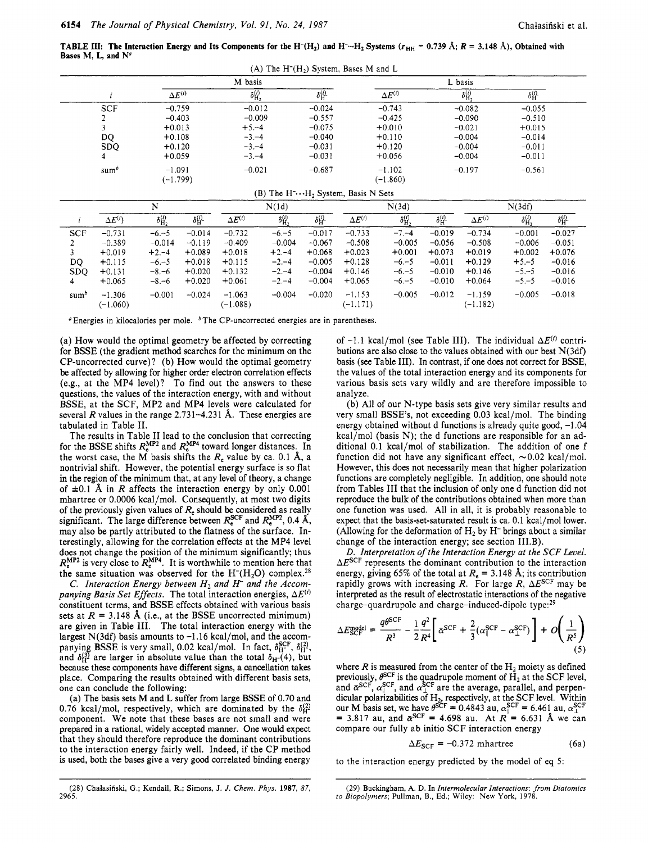**TABLE III:** The Interaction Energy and Its Components for the H<sup>-</sup>(H<sub>2</sub>) and H<sup>-</sup>···H<sub>2</sub> Systems  $(r_{HH} = 0.739 \text{ Å}; R = 3.148 \text{ Å})$ , Obtained with Bases M, L, and  $N^a$ 

| $(A)$ The H <sup><math>-</math></sup> (H <sub>2</sub> ) System, Bases M and L |                        |                            |                        |                        |                          |                        |
|-------------------------------------------------------------------------------|------------------------|----------------------------|------------------------|------------------------|--------------------------|------------------------|
|                                                                               |                        | M basis                    |                        |                        | L basis                  |                        |
|                                                                               | $\Delta E^{(i)}$       | $\delta^{(i)}_{{\rm H}_2}$ | $\delta_{\rm H}^{(i)}$ | $\Delta E^{(i)}$       | $\delta^{(i)}_{\rm H_2}$ | $\delta_{\rm H}^{(i)}$ |
| <b>SCF</b>                                                                    | $-0.759$               | $-0.012$                   | $-0.024$               | $-0.743$               | $-0.082$                 | $-0.055$               |
|                                                                               | $-0.403$               | $-0.009$                   | $-0.557$               | $-0.425$               | $-0.090$                 | $-0.510$               |
|                                                                               | $+0.013$               | $+5,-4$                    | $-0.075$               | $+0.010$               | $-0.021$                 | $+0.015$               |
| DQ                                                                            | $+0.108$               | $-3,-4$                    | $-0.040$               | $+0.110$               | $-0.004$                 | $-0.014$               |
| <b>SDO</b>                                                                    | $+0.120$               | $-3. -4$                   | $-0.031$               | $+0.120$               | $-0.004$                 | $-0.011$               |
| 4                                                                             | $+0.059$               | $-3,-4$                    | $-0.031$               | $+0.056$               | $-0.004$                 | $-0.011$               |
| sum <sup>b</sup>                                                              | $-1.091$<br>$(-1.799)$ | $-0.021$                   | $-0.687$               | $-1.102$<br>$(-1.860)$ | $-0.197$                 | $-0.561$               |

#### (B) The  $H^{-} \cdots H_2$  System, Basis N Sets

|            |                  |                          |                        |                  | N(1d)                    |                        |                  | N(3d)                    |                        |                  | N(3df)                   |                        |
|------------|------------------|--------------------------|------------------------|------------------|--------------------------|------------------------|------------------|--------------------------|------------------------|------------------|--------------------------|------------------------|
|            | $\Delta E^{(i)}$ | $\delta_{\rm H_2}^{(i)}$ | $\delta_{\rm H}^{(i)}$ | $\Delta E^{(i)}$ | $\delta_{\rm H_2}^{(i)}$ | $\delta_{\rm H}^{(i)}$ | $\Delta E^{(i)}$ | $\delta_{\rm H_2}^{(i)}$ | $\delta_{\rm H}^{(i)}$ | $\Delta E^{(i)}$ | $\delta_{\rm H_2}^{(i)}$ | $\delta_{\rm H}^{(i)}$ |
| <b>SCF</b> | $-0.731$         | $-6,-5$                  | $-0.014$               | $-0.732$         | $-6,-5$                  | $-0.017$               | $-0.733$         | $-7, -4$                 | $-0.019$               | $-0.734$         | $-0.001$                 | $-0.027$               |
|            | $-0.389$         | $-0.014$                 | $-0.119$               | $-0.409$         | $-0.004$                 | $-0.067$               | $-0.508$         | $-0.005$                 | $-0.056$               | $-0.508$         | $-0.006$                 | $-0.051$               |
|            | $+0.019$         | $+2,-4$                  | $+0.089$               | $+0.018$         | $+2 - 4$                 | $+0.068$               | $+0.023$         | $+0.001$                 | $+0.073$               | $+0.019$         | $+0.002$                 | $+0.076$               |
| DQ         | $+0.115$         | $-6,-5$                  | $+0.018$               | $+0.115$         | $-2,-4$                  | $-0.005$               | $+0.128$         | $-6,-5$                  | $-0.011$               | $+0.129$         | $+5,-5$                  | $-0.016$               |
| <b>SDO</b> | $+0.131$         | $-8,-6$                  | $+0.020$               | $+0.132$         | $-2,-4$                  | $-0.004$               | $+0.146$         | $-6 - 5$                 | $-0.010$               | $+0.146$         | $-5,-5$                  | $-0.016$               |
| 4          | $+0.065$         | $-8,-6$                  | $+0.020$               | $+0.061$         | $-2,-4$                  | $-0.004$               | $+0.065$         | $-6 - 5$                 | $-0.010$               | $+0.064$         | $-5,-5$                  | $-0.016$               |
| $sum^b$    | $-1.306$         | $-0.001$                 | $-0.024$               | $-1.063$         | $-0.004$                 | $-0.020$               | $-1.153$         | $-0.005$                 | $-0.012$               | $-1.159$         | $-0.005$                 | $-0.018$               |
|            | $(-1.060)$       |                          |                        | $(-1.088)$       |                          |                        | $(-1.171)$       |                          |                        | $(-1.182)$       |                          |                        |

 $P$  Energies in kilocalories per mole.  $P$ The CP-uncorrected energies are in parentheses.

(a) How would the optimal geometry be affected by correcting for BSSE (the gradient method searches for the minimum on the CP-uncorrected curve)? (b) How would the optimal geometry be affected by allowing for higher order electron correlation effects (e.g., at the MP4 level)? To find out the answers to these questions, the values of the interaction energy, with and without BSSE, at the SCF, MP2 and MP4 levels were calculated for several *R* values in the range 2.731-4.231 **A.** These energies are tabulated in Table **11.** 

The results in Table I1 lead to the conclusion that correcting for the BSSE shifts  $R_e^{MP2}$  and  $R_e^{MP4}$  toward longer distances. In the worst case, the M basis shifts the *R,* value by ca. 0.1 **A,** a nontrivial shift. However, the potential energy surface is so flat in the region of the minimum that, at any level of theory, a change of  $\pm 0.1$  Å in *R* affects the interaction energy by only 0.001 mhartree or 0.0006 kcal/mol. Consequently, at most two digits of the previously given values of *Re* should be considered as really significant. The large difference between  $R_{e}^{SCF}$  and  $R_{e}^{MP2}$ , 0.4 Å, may also be partly attributed to the flatness of the surface. Interestingly, allowing for the correlation effects at the MP4 level does not change the position of the minimum significantly; thus  $R_{e}^{MP2}$  is very close to  $R_{e}^{MP4}$ . It is worthwhile to mention here that the same situation was observed for the  $H<sup>-</sup>(H<sub>2</sub>O)$  complex.<sup>28</sup>

C. *Interaction Energy between H2 and H- and the Accompanying Basis Set Effects.* The total interaction energies,  $\Delta E^{(i)}$ constituent terms, and BSSE effects obtained with various basis sets at  $R = 3.148$  Å (i.e., at the BSSE uncorrected minimum) are given in Table **111.** The total interaction energy with the largest N(3df) basis amounts to -1.16 kcal/mol, and the accompanying BSSE is very small, 0.02 kcal/mol. In fact,  $\delta_{\text{H}}^{\text{SCF}}$ ,  $\delta_{\text{H}}^{(2)}$ , because these components have different signs, a cancellation takes place. Comparing the results obtained with different basis sets, one can conclude the following: and  $\delta_{\text{H}}^{(3)}$  are larger in absolute value than the total  $\delta_{\text{H}}(4)$ , but

(a) The basis sets **M** and L suffer from large **BSSE** of 0.70 and 0.76 kcal/mol, respectively, which are dominated by the  $\delta_H^{(2)}$ component. We note that these bases are not small and were prepared in a rational, widely accepted manner. One would expect that they should therefore reproduce the dominant contributions to the interaction energy fairly well. Indeed, if the CP method is used, both the bases give a very good correlated binding energy

**(28)** Chalasifiski, **G.;** Kendall, R.; Simons, **J.** *J. Chem. Phys.* **1987,** *87,*  **2965.** 

of  $-1.1$  kcal/mol (see Table III). The individual  $\Delta E^{(i)}$  contributions are also close to the values obtained with our best N(3df) basis (see Table 111). In contrast, if one does not correct for BSSE, the values of the total interaction energy and its components for various basis sets vary wildly and are therefore impossible to analyze.

(b) All of our N-type basis sets give very similar results and very small BSSE's, not exceeding 0.03 kcal/mol. The binding energy obtained without d functions is already quite good, -1.04 kcal/mol (basis N); the d functions are responsible for an additional 0.1 kcal/mol of stabilization. The addition of one f function did not have any significant effect,  $\sim 0.02$  kcal/mol. However, this does not necessarily mean that higher polarization functions are completely negligible. In addition, one should note from Tables I11 that the inclusion of only one d function did not reproduce the bulk of the contributions obtained when more than one function was used. All in all, it is probably reasonable to expect that the basis-set-saturated result is ca. 0.1 kcal/mol lower. (Allowing for the deformation of  $H_2$  by  $H^-$  brings about a similar change of the interaction energy; see section 1II.B).

*D. Interpretation of the Interaction Energy at the SCF Level. AESCF* represents the dominant contribution to the interaction energy, giving 65% of the total at  $R_e = 3.148$  Å; its contribution rapidly grows with increasing  $R$ . For large  $R$ ,  $\Delta E^{\text{SCF}}$  may be interpreted as the result of electrostatic interactions of the negative charge-quardrupole and charge-induced-dipole type:29

$$
\Delta E_{\rm SCF}^{\rm model} = \frac{q\theta^{\rm SCF}}{R^3} - \frac{1}{2}\frac{q^2}{R^4} \left[ \bar{\alpha}^{\rm SCF} + \frac{2}{3} (\alpha_{\parallel}^{\rm SCF} - \alpha_{\perp}^{\rm SCF}) \right] + O\left(\frac{1}{R^5}\right) \tag{5}
$$

where  $R$  is measured from the center of the  $H_2$  moiety as defined previously,  $\theta^{\text{SCF}}$  is the quadrupole moment of H<sub>2</sub> at the SCF level, dicular polarizabilities of  $H_2$ , respectively, at the SCF level. Within our M basis set, we have  $\theta^{\text{SCF}} = 0.4843 \text{ au}, \alpha_{\parallel}^{\text{SCF}} = 6.461 \text{ au}, \alpha_{\perp}^{\text{SCF}}$  $= 3.817$  au, and  $\bar{\alpha}^{SCF} = 4.698$  au. At  $R^{\prime} = 6.631$  Å we can compare our fully ab initio SCF interaction energy previously,  $\theta$  is the quadrupole moment of  $H_2$  at the SCT level.<br>and  $\bar{\sigma}^{SCF}$   $\alpha$ <sup>SCF</sup> and  $\alpha$ <sup>SCF</sup> are the average, parallel, and perpen-

$$
\Delta E_{\text{SCF}} = -0.372 \text{ mhartree} \tag{6a}
$$

to the interaction energy predicted by the model of eq *5:* 

**<sup>(29)</sup>** Buckingham, **A. D. In** *Intermolecular Interactions: from Diatomics IO Biopolymers;* Pullman, B., Ed.; Wiley: **New** York, **1978.**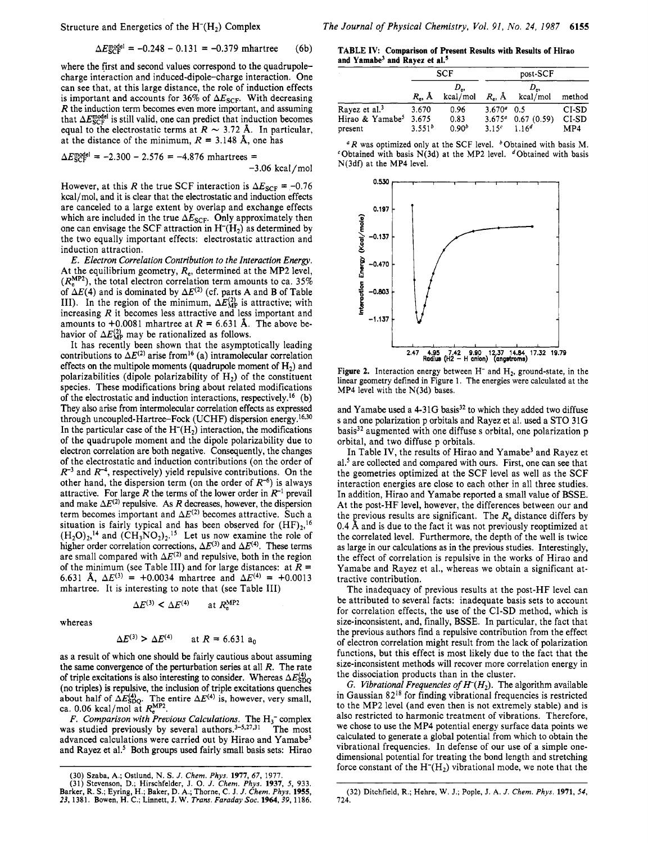Structure and Energetics of the  $H<sup>-</sup>(H<sub>2</sub>)$  Complex

$$
\Delta E_{\rm SCF}^{\rm model} = -0.248 - 0.131 = -0.379 \text{ mhartree} \qquad (6b)
$$

where the first and second values correspond to the quadrupolecharge interaction and induced-dipole-charge interaction. One can see that, at this large distance, the role of induction effects is important and accounts for 36% of  $\Delta E_{\text{SCF}}$ . With decreasing *R* the induction term becomes even more important, and assuming that  $\Delta E_{\text{SCF}}^{\text{model}}$  is still valid, one can predict that induction becomes equal to the electrostatic terms at  $R \sim 3.72$  Å. In particular, at the distance of the minimum,  $R = 3.148$  Å, one has

$$
\Delta E_{\rm SCF}^{\rm model} = -2.300 - 2.576 = -4.876 \text{ mhartrees} = -3.06 \text{ kcal/mol}
$$

However, at this *R* the true SCF interaction is  $\Delta E_{SCF} = -0.76$ kcal/mol, and it is clear that the electrostatic and induction effects are canceled to a large extent by overlap and exchange effects which are included in the true  $\Delta E_{\textrm{SCF}}$ . Only approximately then one can envisage the SCF attraction in  $H<sup>-</sup>(H<sub>2</sub>)$  as determined by the two equally important effects: electrostatic attraction and induction attraction.

*E. Electron Correlation Contribution to the Interaction Energy.*  At the equilibrium geometry, *Re,* determined at the MP2 level,  $(R_{\epsilon}^{MP2})$ , the total electron correlation term amounts to ca. 35% of  $\Delta E(4)$  and is dominated by  $\Delta E^{(2)}$  (cf. parts A and B of Table III). In the region of the minimum,  $\Delta E_{\rm MP}^{(2)}$  is attractive; with increasing *R* it becomes less attractive and less important and amounts to  $+0.0081$  mhartree at  $R = 6.631$  Å. The above behavior of  $\Delta E_{\rm MP}^{(2)}$  may be rationalized as follows.

It has recently been shown that the asymptotically leading contributions to  $\Delta E^{(2)}$  arise from<sup>16</sup> (a) intramolecular correlation effects on the multipole moments (quadrupole moment of  $H_2$ ) and polarizabilities (dipole polarizability of  $H<sub>2</sub>$ ) of the constituent species. These modifications bring about related modifications of the electrostatic and induction interactions, respectively.16 (b) They also arise from intermolecular correlation effects as expressed through uncoupled-Hartree-Fock (UCHF) dispersion energy.<sup>16,30</sup> In the particular case of the  $H<sup>-</sup>(H<sub>2</sub>)$  interaction, the modifications of the quadrupole moment and the dipole polarizability due to electron correlation are both negative. Consequently, the changes of the electrostatic and induction contributions (on the order of  $R^{-3}$  and  $R^{-4}$ , respectively) yield repulsive contributions. On the other hand, the dispersion term (on the order of  $R^{-6}$ ) is always attractive. For large *R* the terms of the lower order in  $R^{-1}$  prevail and make  $\Delta E^{(2)}$  repulsive. As *R* decreases, however, the dispersion term becomes important and  $\Delta E^{(2)}$  becomes attractive. Such a situation is fairly typical and has been observed for  $(HF)_{2}$ ,<sup>16</sup>  $(H_2O)<sub>2</sub>$ ,<sup>14</sup> and  $(\text{CH}_3\text{NO}_2)<sub>2</sub>$ .<sup>15</sup> Let us now examine the role of higher order correlation corrections,  $\Delta E^{(3)}$  and  $\Delta E^{(4)}$ . These terms are small compared with  $\Delta E^{(2)}$  and repulsive, both in the region of the minimum (see Table III) and for large distances: at  $\overline{R}$  = 6.631 Å,  $\Delta E^{(3)} = +0.0034$  mhartree and  $\Delta E^{(4)} = +0.0013$ mhartree. It is interesting to note that (see Table 111)

whereas

$$
\Delta E^{(3)} > \Delta E^{(4)} \qquad \text{at } R = 6.631 \text{ a}_0
$$

 $\Delta E^{(3)} < \Delta E^{(4)}$  at  $R_{\epsilon}^{\text{MP2}}$ 

as a result of which one should be fairly cautious about assuming the same convergence of the perturbation series at all *R.* The rate of triple excitations is also interesting to consider. Whereas  $\Delta E_{\rm SDO}^{(4)}$ (no triples) is repulsive, the inclusion of triple excitations quenches about half of  $\Delta E_{\text{SDO}}^{(4)}$ . The entire  $\Delta E^{(4)}$  is, however, very small, ca. 0.06 kcal/mol at  $R_{e}^{MP2}$ .

*F. Comparison with Previous Calculations.* The H<sub>3</sub><sup>-</sup> complex was studied previously by several authors. $3-5,27,31$  The most advanced calculations were carried out by Hirao and Yamabe3 and Rayez et al.<sup>5</sup> Both groups used fairly small basis sets: Hirao

**TABLE IV: Comparison of Present Results with Results of Hirao and Yamabe3 and Rayez et aL5** 

|                                        |                      | <b>SCF</b>                | post-SCF              |                                    |              |  |
|----------------------------------------|----------------------|---------------------------|-----------------------|------------------------------------|--------------|--|
|                                        | R., A                | $D_{\rm es}$<br>kcal/mol  | $R_{\bullet}$ , $\AA$ | D.,<br>kcal/mol                    | method       |  |
| Rayez et al. <sup>3</sup>              | 3.670                | 0.96                      | $3.670^a$             | 0.5                                | CI-SD        |  |
| Hirao & Yamabe <sup>5</sup><br>present | 3.675<br>$3.551^{b}$ | 0.83<br>0.90 <sup>b</sup> | $3.15^{c}$            | $3.675a$ 0.67 (0.59)<br>$1.16^{d}$ | CI-SD<br>MP4 |  |

**<sup>a</sup>***R* was optimized only at the SCF level. 'Obtained with basis M.  $c$ Obtained with basis N(3d) at the MP2 level.  $d$ Obtained with basis N(3df) at the MP4 level.



Figure 2. Interaction energy between H<sup>-</sup> and H<sub>2</sub>, ground-state, in the linear geometry defined in Figure 1. The energies were calculated at the MP4 level with the N(3d) bases.

and Yamabe used a 4-31G basis<sup>32</sup> to which they added two diffuse **<sup>s</sup>**and one polarization p orbitals and Rayez et al. used a STO 31G basis32 augmented with one diffuse **s** orbital, one polarization p orbital, and two diffuse p orbitals.

In Table IV, the results of Hirao and Yamabe<sup>3</sup> and Rayez et al.<sup>5</sup> are collected and compared with ours. First, one can see that the geometries optimized at the SCF level as well as the SCF interaction energies are close to each other in all three studies. In addition, Hirao and Yamabe reported a small value of BSSE. At the post-HF level, however, the differences between our and the previous results are significant. The  $R_e$  distance differs by the correlated level. Furthermore, the depth of the well is twice as large in our calculations as in the previous studies. Interestingly, the effect of correlation is repulsive in the works of Hirao and Yamabe and Rayez et al., whereas we obtain a significant attractive contribution. 0.4 Å and is due to the fact it was not previously reoptimized at

The inadequacy of previous results at the post-HF level can be attributed to several facts: inadequate basis sets to account for correlation effects, the use of the CI-SD method, which is size-inconsistent, and, finally, BSSE. In particular, the fact that the previous authors find a repulsive contribution from the effect of electron correlation might result from the lack of polarization functions, but this effect is most likely due to the fact that the size-inconsistent methods will recover more correlation energy in the dissociation products than in the cluster.

G. *Vibrational Frequencies of*  $H<sup>-</sup>(H<sub>2</sub>)$ *.* The algorithm available in Gaussian 8218 for finding vibrational frequencies is restricted to the MP2 level (and even then is not extremely stable) and is also restricted to harmonic treatment of vibrations. Therefore, we chose to use the MP4 potential energy surface data points we calculated to generate a global potential from which to obtain the vibrational frequencies. In defense of our use of a simple onedimensional potential for treating the bond length and stretching force constant of the  $H<sup>-</sup>(H<sub>2</sub>)$  vibrational mode, we note that the

<sup>(30)</sup> Szaba, **A.;** Ostlund, N. *S. J. Chem. Phys.* **1977, 67, 1977.** 

<sup>(31)</sup> Stevenson, D.; Hirschfelder, J. O. J. Chem. Phys. 1937, 5, 933.<br>Barker, R. S.; Eyring, H.; Baker, D. A.; Thorne, C. J. J. Chem. Phys. 1937, 5, 933.<br>23, 1381. Bowen, H. C.; Linnett, J. W. Trans. Faraday Soc. 1964, 39,

<sup>(32)</sup> Ditchfield, **R.;** Hehre, **W. J.;** Pople, **J. A.** *J. Chem. Phys.* **1971,** *54,*  **724.**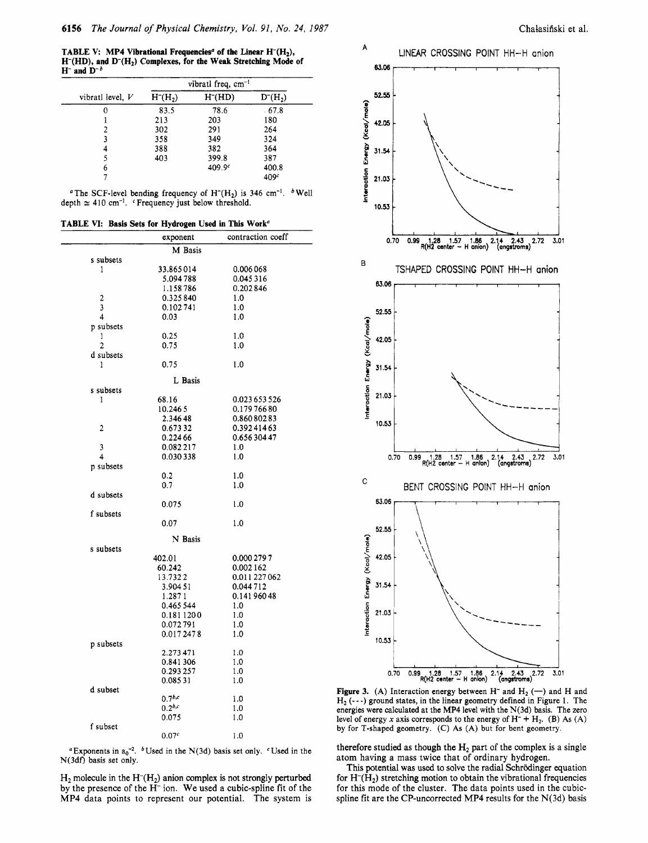**TABLE V: MP4 Vibrational Frequencies<sup>a</sup> of the Linear H<sup>-</sup>(H<sub>2</sub>), H-(HD), and D-(H2) Complexes, for the Weak Stretching Mode of**   $H^-$  and  $D^-$ <sup>b</sup>

|                    |                                  | vibratl freq, $cm^{-1}$ |              |
|--------------------|----------------------------------|-------------------------|--------------|
| vibratl level, $V$ | H <sub>1</sub> (H <sub>2</sub> ) | H <sub>1</sub> (HD)     | $D^{-}(H_2)$ |
| 0                  | 83.5                             | 78.6                    | 67.8         |
|                    | 213                              | 203                     | 180          |
|                    | 302                              | 291                     | 264          |
| 3                  | 358                              | 349                     | 324          |
|                    | 388                              | 382                     | 364          |
|                    | 403                              | 399.8                   | 387          |
| 6                  |                                  | 409.9c                  | 400.8        |
|                    |                                  |                         | 409c         |

<sup>a</sup> The SCF-level bending frequency of H<sup>-</sup>(H<sub>2</sub>) is 346 cm<sup>-1</sup>. <sup>b</sup> Well depth  $\simeq$  410 cm<sup>-1</sup>. <sup>c</sup>Frequency just below threshold.

**TABLE VI: Basis Sets for Hydrogen Used in This Work"** 

|                     | exponent          | contraction coeff |
|---------------------|-------------------|-------------------|
|                     | M Basis           |                   |
| s subsets           |                   |                   |
| 1                   | 33.865014         | 0.006 068         |
|                     | 5.094 788         | 0.045316          |
|                     | 1.158786          | 0.202846          |
| $\overline{c}$      | 0.325840          | 1.0               |
| 3                   | 0.102741          | 1.0               |
| $\overline{\bf{4}}$ | 0.03              | 1.0               |
| p subsets           |                   |                   |
| 1                   | 0.25              | 1.0               |
| $\overline{2}$      | 0.75              | 1.0               |
| d subsets           |                   |                   |
| ı                   | 0.75              | 1.0               |
|                     | L Basis           |                   |
| s subsets           |                   |                   |
| 1                   | 68.16             | 0.023 653 526     |
|                     | 10.246.5          | 0.17976680        |
|                     | 2.34648           | 0.86080283        |
| 2                   | 0.67332           | 0.39241463        |
|                     | 0.224 66          | 0.65630447        |
| 3                   | 0.082217          | 1.0               |
| 4                   | 0.030338          | 1.0               |
| p subsets           |                   |                   |
|                     | 0.2               | 1.0               |
|                     | 0.7               | 1.0               |
| d subsets           |                   |                   |
|                     | 0.075             | 1.0               |
| f subsets           |                   |                   |
|                     | 0.07              | 1.0               |
|                     |                   |                   |
|                     | N Basis           |                   |
| s subsets           |                   |                   |
|                     | 402.01            | 0.000 279 7       |
|                     | 60.242            | 0.002162          |
|                     | 13.7322           | 0.011 227 062     |
|                     | 3.90451           | 0.044712          |
|                     | 1.2871            | 0.14196048        |
|                     | 0.465 544         | 1.0               |
|                     | 0.1811200         | 1.0               |
|                     | 0.072791          | 1.0               |
|                     | 0.0172478         | 1.0               |
| p subsets           |                   |                   |
|                     | 2.273 471         | 1.0               |
|                     | 0.841306          | 1.0               |
|                     | 0.293 257         | 1.0               |
|                     | 0.08531           | 1.0               |
| d subset            |                   |                   |
|                     | $0.7^{b,c}$       | 1.0               |
|                     | $0.2^{b,c}$       | 1.0               |
|                     | 0.075             | 1.0               |
| f subset            |                   |                   |
|                     | 0.07 <sup>c</sup> | 1.0               |

"Exponents in  $a_0^{-2}$ . <sup>b</sup> Used in the N(3d) basis set only. "Used in the N(3df) basis set only.

 $H_2$  molecule in the  $H<sup>+</sup>(H_2)$  anion complex is not strongly perturbed by the presence of the H<sup>-</sup> ion. We used a cubic-spline fit of the MP4 data points to represent our potential. The system is



**Figure 3.** (A) Interaction energy between H<sup>-</sup> and H<sub>2</sub> (-) and H and  $H_2$  ( $\cdots$ ) ground states, in the linear geometry defined in Figure 1. The energies were calculated at the MP4 level with the N(3d) basis. The zero level of energy x axis corresponds to the energy of  $H^- + H_2$ . (B) As  $(A)$ by for T-shaped geometry. (C) **As (A)** but for bent geometry.

therefore studied as though the  $H_2$  part of the complex is a single atom having a mass twice that of ordinary hydrogen.

This potential was used to solve the radial Schrödinger equation for  $H<sup>-</sup>(H<sub>2</sub>)$  stretching motion to obtain the vibrational frequencies for this mode of the cluster. The data points used in the cubicspline fit are the CP-uncorrected MP4 results for the  $N(3d)$  basis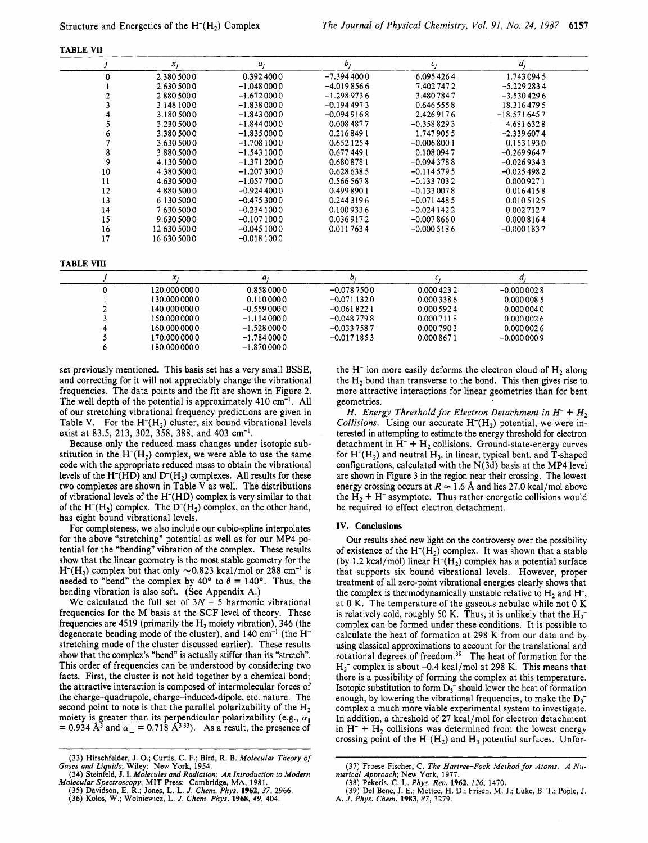| ΩT<br>А۱<br>ш<br>۰<br> |
|------------------------|
|------------------------|

|          | $x_i$        | $a_j$        | b,           | $c_i$        | a,            |  |
|----------|--------------|--------------|--------------|--------------|---------------|--|
| $\Omega$ | 2.380 500 0  | 0.3924000    | $-7.3944000$ | 6.0954264    | 1.7430945     |  |
|          | 2.630 500 0  | $-1.0480000$ | $-4.0198566$ | 7.4027472    | $-5.2292834$  |  |
|          | 2.880 500 0  | $-1.6720000$ | $-1.2989736$ | 3.4807847    | $-3.5304296$  |  |
|          | 3.148 1000   | $-1.8380000$ | $-0.1944973$ | 0.646 555 8  | 18.3164795    |  |
|          | 3.1805000    | $-1.8430000$ | $-0.0949168$ | 2.4269176    | $-18.5716457$ |  |
|          | 3.230 500 0  | $-1.8440000$ | 0.008 4877   | $-0.3588293$ | 4.6816328     |  |
|          | 3.380 500 0  | $-1.8350000$ | 0.2168491    | 1.7479055    | $-2.3396074$  |  |
|          | 3.630 500 0  | $-1.7081000$ | 0.6521254    | $-0.0068001$ | 0.153 1930    |  |
| 8        | 3.880 500 0  | $-1.5431000$ | 0.6774491    | 0.1080947    | $-0.2699647$  |  |
| 9        | 4.130 500 0  | $-1.3712000$ | 0.6808781    | $-0.0943788$ | $-0.0269343$  |  |
| 10       | 4.380 500 0  | $-1.2073000$ | 0.628 638 5  | $-0.1145795$ | $-0.0254982$  |  |
| 11       | 4.630 500 0  | $-1.0577000$ | 0.566 567 8  | $-0.1337032$ | 0.0009271     |  |
| 12       | 4.880 500 0  | $-0.9244000$ | 0.4998901    | $-0.1330078$ | 0.0164158     |  |
| 13       | 6.130 500 0  | $-0.4753000$ | 0.2443196    | $-0.0714485$ | 0.010 512 5   |  |
| 14       | 7.630 5000   | $-0.2341000$ | 0.1009336    | $-0.0241422$ | 0.0027127     |  |
| 15       | 9.630 500 0  | $-0.1071000$ | 0.0369172    | $-0.0078660$ | 0.0008164     |  |
| 16       | 12.630 500 0 | $-0.0451000$ | 0.0117634    | $-0.0005186$ | $-0.0001837$  |  |
| 17       | 16.630 500 0 | $-0.0181000$ |              |              |               |  |

#### **TABLE VI11**

| x             | a            |              |             |              |
|---------------|--------------|--------------|-------------|--------------|
| 120.000 000 0 | 0.8580000    | $-0.0787500$ | 0.000 423 2 | $-0.0000028$ |
| 130.000 000 0 | 0.1100000    | $-0.0711320$ | 0.0003386   | 0.0000085    |
| 140.000 000 0 | $-0.5590000$ | $-0.0618221$ | 0.000 592 4 | 0.0000040    |
| 150.000 000 0 | $-1.1140000$ | $-0.0487798$ | 0.0007118   | 0.0000026    |
| 160.000 000 0 | $-1.5280000$ | $-0.0337587$ | 0.000 790 3 | 0.0000026    |
| 170.000 000 0 | $-1.7840000$ | $-0.0171853$ | 0.0008671   | $-0.0000009$ |
| 180.000 000 0 | $-1.8700000$ |              |             |              |

set previously mentioned. This basis set has a very small BSSE, and correcting for it will not appreciably change the vibrational frequencies. The data points and the fit are shown in Figure **2.**  The well depth of the potential is approximately **410** cm-I. All of our stretching vibrational frequency predictions are given in Table V. For the  $H^{-}(H_{2})$  cluster, six bound vibrational levels exist at **83.5, 213, 302, 358, 388,** and **403** cm-'.

Because only the reduced mass changes under isotopic substitution in the  $H<sup>-</sup>(H<sub>2</sub>)$  complex, we were able to use the same code with the appropriate reduced mass to obtain the vibrational levels of the H<sup>-</sup>(HD) and D<sup>-</sup>(H<sub>2</sub>) complexes. All results for these two complexes are shown in Table **V** as well. The distributions of vibrational levels of the H-(HD) complex is very similar to that of the H<sup>-</sup>(H<sub>2</sub>) complex. The D<sup>-</sup>(H<sub>2</sub>) complex, on the other hand, has eight bound vibrational levels.

For completeness, we also include our cubic-spline interpolates for the above "stretching" potential as well as for our **MP4** potential for the "bending" vibration of the complex. These results show that the linear geometry is the most stable geometry for the  $H<sup>-</sup>(H<sub>2</sub>)$  complex but that only  $\sim 0.823$  kcal/mol or 288 cm<sup>-1</sup> is needed to "bend" the complex by 40° to  $\theta = 140$ °. Thus, the bending vibration is also soft. (See Appendix A.)

We calculated the full set of  $3N - 5$  harmonic vibrational frequencies for the **M** basis at the SCF level of theory. These frequencies are **4519** (primarily the H2 moiety vibration), **346** (the degenerate bending mode of the cluster), and **140** cm-' (the **H**stretching mode of the cluster discussed earlier). These results show that the complex's "bend" is actually stiffer than its "stretch". This order of frequencies can be understood by considering two facts. First, the cluster is not held together by a chemical bond; the attractive interaction is composed of intermolecular forces of the charge-quadrupole, charge-induced-dipole, etc. nature. The second point to note is that the parallel polarizability of the  $H_2$ moiety is greater than its perpendicular polarizability (e.g.,  $\alpha_{\parallel}$  = 0.934 Å<sup>3</sup> and  $\alpha_{\perp}$  = 0.718 Å<sup>333</sup>). As a result, the presence of the  $H^-$  ion more easily deforms the electron cloud of  $H_2$  along the  $H_2$  bond than transverse to the bond. This then gives rise to more attractive interactions for linear geometries than for bent geometries.

*H. Energy Threshold for Electron Detachment in*  $H^- + H_2$ *Collisions.* Using our accurate H<sup>-</sup>(H<sub>2</sub>) potential, we were interested in attempting to estimate the energy threshold for electron detachment in  $H^- + H_2$  collisions. Ground-state-energy curves for  $H<sup>-</sup>(H<sub>2</sub>)$  and neutral  $H<sub>3</sub>$ , in linear, typical bent, and T-shaped configurations, calculated with the N(3d) basis at the **MP4** level are shown in Figure **3** in the region near their crossing. The lowest energy crossing occurs at  $R \approx 1.6$  Å and lies 27.0 kcal/mol above the  $H_2 + H^-$  asymptote. Thus rather energetic collisions would be required to effect electron detachment.

### **IV. Conclusions**

Our results shed new light on the controversy over the possibility of existence of the  $H<sup>-</sup>(H<sub>2</sub>)$  complex. It was shown that a stable (by 1.2 kcal/mol) linear  $H<sup>-</sup>(H<sub>2</sub>)$  complex has a potential surface that supports six bound vibrational levels. However, proper treatment of all zero-point vibrational energies clearly shows that the complex is thermodynamically unstable relative to  $H_2$  and  $H_7$ , at 0 K. The temperature of the gaseous nebulae while not 0 K is relatively cold, roughly 50 K. Thus, it is unlikely that the  $H_3^$ complex can be formed under these conditions. It is possible to calculate the heat of formation at **298** K from our data and by using classical approximations to account for the translational and rotational degrees of freedom.39 The heat of formation for the H3- complex is about **-0.4** kcal/mol at **298** K. This means that there is a possibility of forming the complex at this temperature. Isotopic substitution to form  $D_3^-$  should lower the heat of formation enough, by lowering the vibrational frequencies, to make the  $D_3$ complex a much more viable experimental system to investigate. In addition, a threshold of **27** kcal/mol for electron detachment in  $H^-$  +  $H_2$  collisions was determined from the lowest energy crossing point of the  $H<sup>-</sup>(H<sub>2</sub>)$  and  $H<sub>3</sub>$  potential surfaces. Unfor-

<sup>(33)</sup> Hirschfelder, J. *0.;* Curtis, C. **F.;** Bird, R. B. *Molecular Theory of Gases and Liquids;* Wiley: New York, 1954. (34) Steinfeld, J. **I.** *Molecules and Radiation: An Introduction to Modern* 

*Molecular Spectroscopy*; MIT Press: Cambridge, MA, 1981.<br>(35) Davidson, E. R.; Jones, L. L. J. Chem. Phys. **1962**, 37, 2966.<br>(36) Kolos, W.; Wolniewicz, L. J. Chem. Phys. **1968**, 49, 404.

<sup>(37)</sup> **Froese** Fischer, *C. The Hartree-Fork Method for Atoms. A Nu- merical Approach;* New York, 1977.

<sup>(38)</sup> Pekeris, C. L. *Phys. Reu. 1962, 126,* 1470. (39) **Del** Bene, J. E.; Mettee, H. D.; Frisch, M. J.; Luke, B. **T.;** Pople, J. **A.** *J. Phys. Chem. 1983, 87,* 3279.